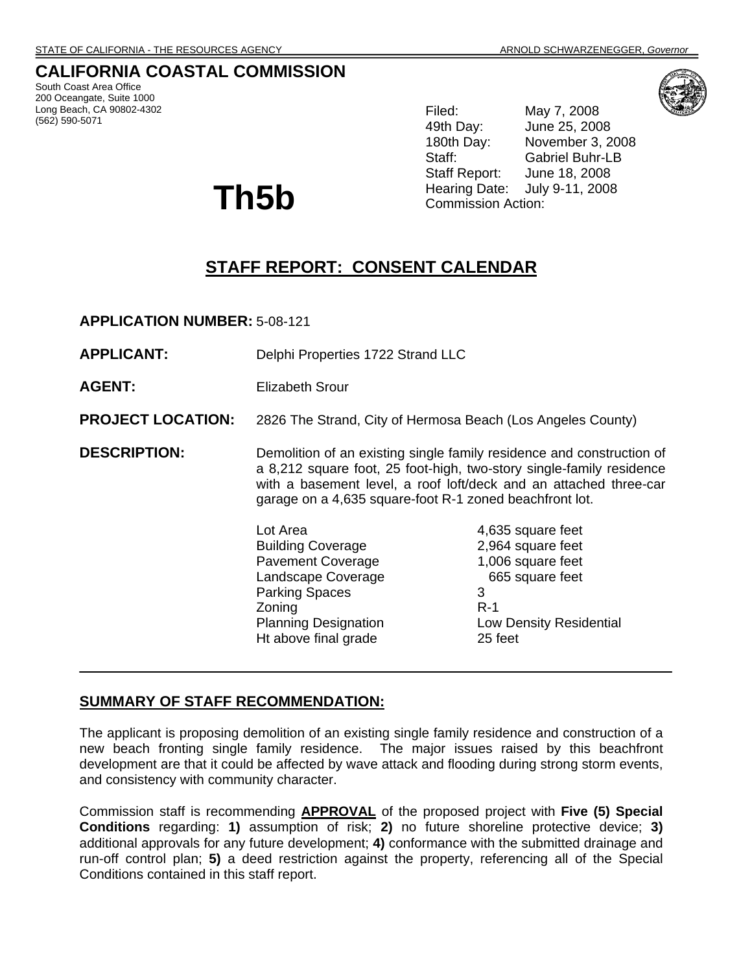## **CALIFORNIA COASTAL COMMISSION**

South Coast Area Office 200 Oceangate, Suite 1000 Long Beach, CA 90802-4302 (562) 590-5071

Filed: May 7, 2008 49th Day: June 25, 2008 180th Day: November 3, 2008 Staff: Gabriel Buhr-LB Staff Report: June 18, 2008 Hearing Date: July 9-11, 2008 Commission Action:

# **STAFF REPORT: CONSENT CALENDAR**

**APPLICATION NUMBER:** 5-08-121

**Th5b** 

| <b>APPLICANT:</b>        | Delphi Properties 1722 Strand LLC                                                                                                                                                                                                                                                                                                                               |                                                                                          |
|--------------------------|-----------------------------------------------------------------------------------------------------------------------------------------------------------------------------------------------------------------------------------------------------------------------------------------------------------------------------------------------------------------|------------------------------------------------------------------------------------------|
| <b>AGENT:</b>            | Elizabeth Srour                                                                                                                                                                                                                                                                                                                                                 |                                                                                          |
| <b>PROJECT LOCATION:</b> | 2826 The Strand, City of Hermosa Beach (Los Angeles County)                                                                                                                                                                                                                                                                                                     |                                                                                          |
| <b>DESCRIPTION:</b>      | Demolition of an existing single family residence and construction of<br>a 8,212 square foot, 25 foot-high, two-story single-family residence<br>with a basement level, a roof loft/deck and an attached three-car<br>garage on a 4,635 square-foot R-1 zoned beachfront lot.<br>Lot Area<br>4,635 square feet<br>2,964 square feet<br><b>Building Coverage</b> |                                                                                          |
|                          | <b>Pavement Coverage</b><br>Landscape Coverage<br><b>Parking Spaces</b><br>Zoning<br><b>Planning Designation</b><br>Ht above final grade                                                                                                                                                                                                                        | 1,006 square feet<br>665 square feet<br>3<br>$R-1$<br>Low Density Residential<br>25 feet |

## **SUMMARY OF STAFF RECOMMENDATION:**

The applicant is proposing demolition of an existing single family residence and construction of a new beach fronting single family residence. The major issues raised by this beachfront development are that it could be affected by wave attack and flooding during strong storm events, and consistency with community character.

Commission staff is recommending **APPROVAL** of the proposed project with **Five (5) Special Conditions** regarding: **1)** assumption of risk; **2)** no future shoreline protective device; **3)** additional approvals for any future development; **4)** conformance with the submitted drainage and run-off control plan; **5)** a deed restriction against the property, referencing all of the Special Conditions contained in this staff report.

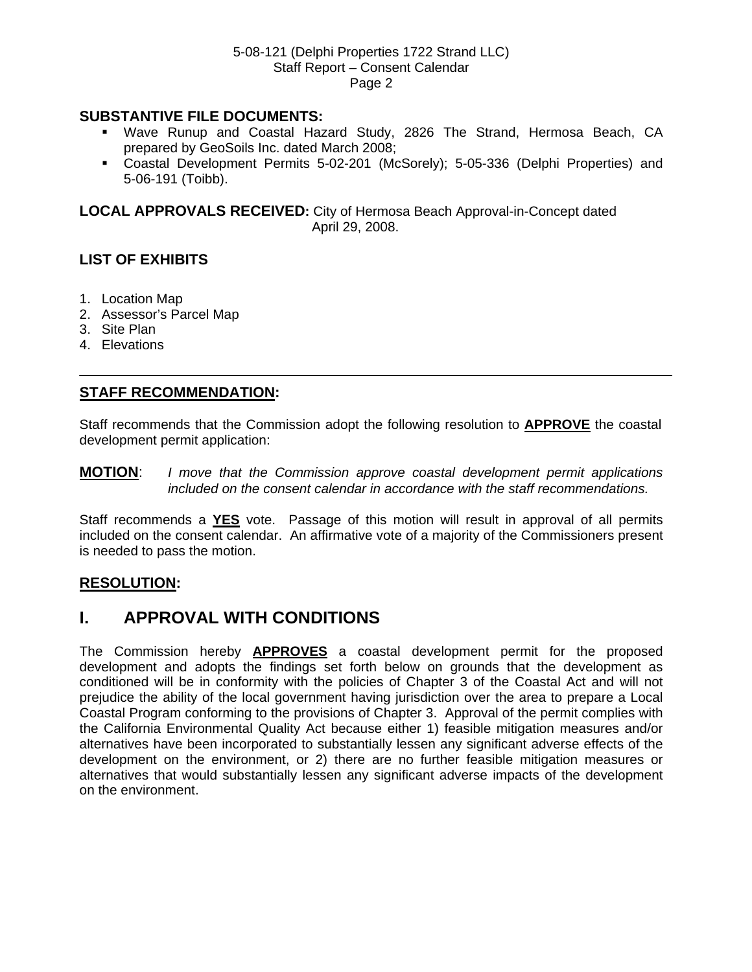### **SUBSTANTIVE FILE DOCUMENTS:**

- Wave Runup and Coastal Hazard Study, 2826 The Strand, Hermosa Beach, CA prepared by GeoSoils Inc. dated March 2008;
- Coastal Development Permits 5-02-201 (McSorely); 5-05-336 (Delphi Properties) and 5-06-191 (Toibb).

**LOCAL APPROVALS RECEIVED:** City of Hermosa Beach Approval-in-Concept dated April 29, 2008.

## **LIST OF EXHIBITS**

- 1. Location Map
- 2. Assessor's Parcel Map
- 3. Site Plan
- 4. Elevations

## **STAFF RECOMMENDATION:**

Staff recommends that the Commission adopt the following resolution to **APPROVE** the coastal development permit application:

**MOTION**: *I move that the Commission approve coastal development permit applications included on the consent calendar in accordance with the staff recommendations.* 

Staff recommends a **YES** vote. Passage of this motion will result in approval of all permits included on the consent calendar. An affirmative vote of a majority of the Commissioners present is needed to pass the motion.

### **RESOLUTION:**

## **I. APPROVAL WITH CONDITIONS**

The Commission hereby **APPROVES** a coastal development permit for the proposed development and adopts the findings set forth below on grounds that the development as conditioned will be in conformity with the policies of Chapter 3 of the Coastal Act and will not prejudice the ability of the local government having jurisdiction over the area to prepare a Local Coastal Program conforming to the provisions of Chapter 3. Approval of the permit complies with the California Environmental Quality Act because either 1) feasible mitigation measures and/or alternatives have been incorporated to substantially lessen any significant adverse effects of the development on the environment, or 2) there are no further feasible mitigation measures or alternatives that would substantially lessen any significant adverse impacts of the development on the environment.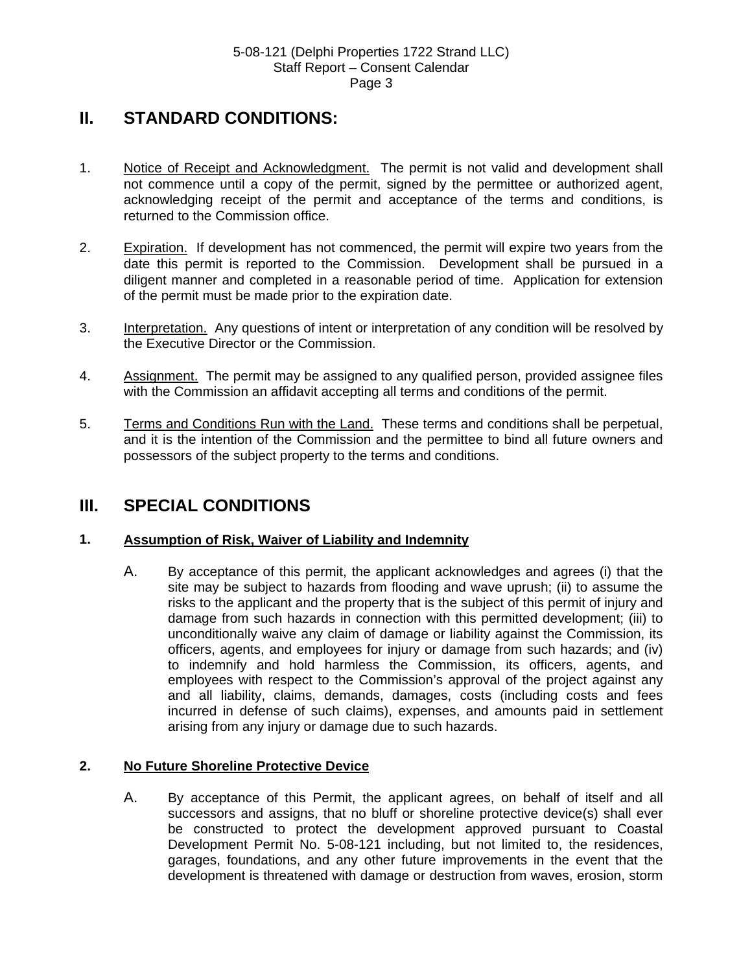## **II. STANDARD CONDITIONS:**

- 1. Notice of Receipt and Acknowledgment. The permit is not valid and development shall not commence until a copy of the permit, signed by the permittee or authorized agent, acknowledging receipt of the permit and acceptance of the terms and conditions, is returned to the Commission office.
- 2. Expiration. If development has not commenced, the permit will expire two years from the date this permit is reported to the Commission. Development shall be pursued in a diligent manner and completed in a reasonable period of time. Application for extension of the permit must be made prior to the expiration date.
- 3. Interpretation. Any questions of intent or interpretation of any condition will be resolved by the Executive Director or the Commission.
- 4. Assignment. The permit may be assigned to any qualified person, provided assignee files with the Commission an affidavit accepting all terms and conditions of the permit.
- 5. Terms and Conditions Run with the Land. These terms and conditions shall be perpetual, and it is the intention of the Commission and the permittee to bind all future owners and possessors of the subject property to the terms and conditions.

## **III. SPECIAL CONDITIONS**

### **1. Assumption of Risk, Waiver of Liability and Indemnity**

A. By acceptance of this permit, the applicant acknowledges and agrees (i) that the site may be subject to hazards from flooding and wave uprush; (ii) to assume the risks to the applicant and the property that is the subject of this permit of injury and damage from such hazards in connection with this permitted development; (iii) to unconditionally waive any claim of damage or liability against the Commission, its officers, agents, and employees for injury or damage from such hazards; and (iv) to indemnify and hold harmless the Commission, its officers, agents, and employees with respect to the Commission's approval of the project against any and all liability, claims, demands, damages, costs (including costs and fees incurred in defense of such claims), expenses, and amounts paid in settlement arising from any injury or damage due to such hazards.

## **2. No Future Shoreline Protective Device**

A. By acceptance of this Permit, the applicant agrees, on behalf of itself and all successors and assigns, that no bluff or shoreline protective device(s) shall ever be constructed to protect the development approved pursuant to Coastal Development Permit No. 5-08-121 including, but not limited to, the residences, garages, foundations, and any other future improvements in the event that the development is threatened with damage or destruction from waves, erosion, storm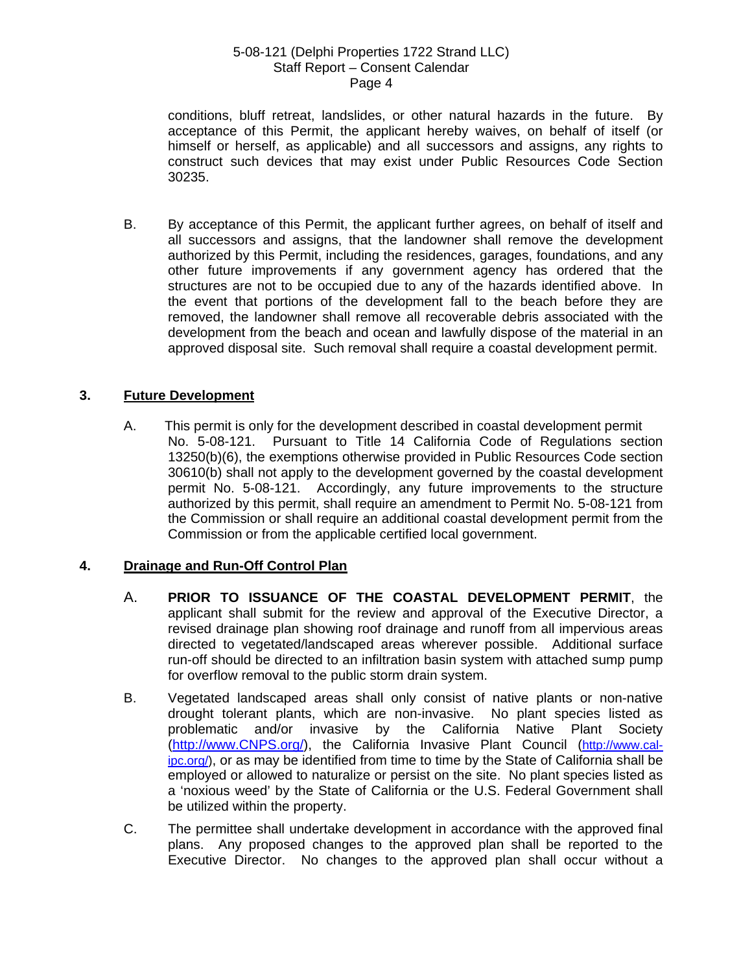conditions, bluff retreat, landslides, or other natural hazards in the future. By acceptance of this Permit, the applicant hereby waives, on behalf of itself (or himself or herself, as applicable) and all successors and assigns, any rights to construct such devices that may exist under Public Resources Code Section 30235.

B. By acceptance of this Permit, the applicant further agrees, on behalf of itself and all successors and assigns, that the landowner shall remove the development authorized by this Permit, including the residences, garages, foundations, and any other future improvements if any government agency has ordered that the structures are not to be occupied due to any of the hazards identified above. In the event that portions of the development fall to the beach before they are removed, the landowner shall remove all recoverable debris associated with the development from the beach and ocean and lawfully dispose of the material in an approved disposal site. Such removal shall require a coastal development permit.

## **3. Future Development**

A. This permit is only for the development described in coastal development permit No. 5-08-121. Pursuant to Title 14 California Code of Regulations section 13250(b)(6), the exemptions otherwise provided in Public Resources Code section 30610(b) shall not apply to the development governed by the coastal development permit No. 5-08-121. Accordingly, any future improvements to the structure authorized by this permit, shall require an amendment to Permit No. 5-08-121 from the Commission or shall require an additional coastal development permit from the Commission or from the applicable certified local government.

### **4. Drainage and Run-Off Control Plan**

- A. **PRIOR TO ISSUANCE OF THE COASTAL DEVELOPMENT PERMIT**, the applicant shall submit for the review and approval of the Executive Director, a revised drainage plan showing roof drainage and runoff from all impervious areas directed to vegetated/landscaped areas wherever possible. Additional surface run-off should be directed to an infiltration basin system with attached sump pump for overflow removal to the public storm drain system.
- B. Vegetated landscaped areas shall only consist of native plants or non-native drought tolerant plants, which are non-invasive. No plant species listed as problematic and/or invasive by the California Native Plant Society [\(http://www.CNPS.org/](http://www.cnps.org/)), the California Invasive Plant Council [\(http://www.cal](http://www.cal-ipc.org/)[ipc.org/\)](http://www.cal-ipc.org/), or as may be identified from time to time by the State of California shall be employed or allowed to naturalize or persist on the site. No plant species listed as a 'noxious weed' by the State of California or the U.S. Federal Government shall be utilized within the property.
- C. The permittee shall undertake development in accordance with the approved final plans. Any proposed changes to the approved plan shall be reported to the Executive Director. No changes to the approved plan shall occur without a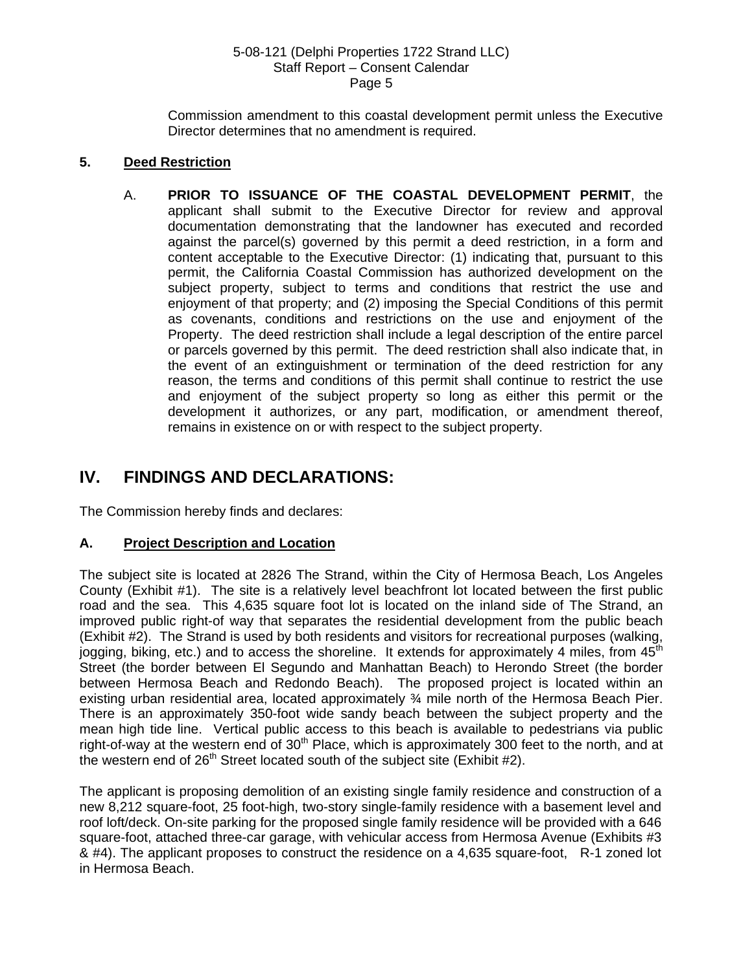Commission amendment to this coastal development permit unless the Executive Director determines that no amendment is required.

### **5. Deed Restriction**

A. **PRIOR TO ISSUANCE OF THE COASTAL DEVELOPMENT PERMIT**, the applicant shall submit to the Executive Director for review and approval documentation demonstrating that the landowner has executed and recorded against the parcel(s) governed by this permit a deed restriction, in a form and content acceptable to the Executive Director: (1) indicating that, pursuant to this permit, the California Coastal Commission has authorized development on the subject property, subject to terms and conditions that restrict the use and enjoyment of that property; and (2) imposing the Special Conditions of this permit as covenants, conditions and restrictions on the use and enjoyment of the Property. The deed restriction shall include a legal description of the entire parcel or parcels governed by this permit. The deed restriction shall also indicate that, in the event of an extinguishment or termination of the deed restriction for any reason, the terms and conditions of this permit shall continue to restrict the use and enjoyment of the subject property so long as either this permit or the development it authorizes, or any part, modification, or amendment thereof, remains in existence on or with respect to the subject property.

## **IV. FINDINGS AND DECLARATIONS:**

The Commission hereby finds and declares:

### **A. Project Description and Location**

The subject site is located at 2826 The Strand, within the City of Hermosa Beach, Los Angeles County (Exhibit #1). The site is a relatively level beachfront lot located between the first public road and the sea. This 4,635 square foot lot is located on the inland side of The Strand, an improved public right-of way that separates the residential development from the public beach (Exhibit #2). The Strand is used by both residents and visitors for recreational purposes (walking, jogging, biking, etc.) and to access the shoreline. It extends for approximately 4 miles, from  $45<sup>th</sup>$ Street (the border between El Segundo and Manhattan Beach) to Herondo Street (the border between Hermosa Beach and Redondo Beach). The proposed project is located within an existing urban residential area, located approximately ¾ mile north of the Hermosa Beach Pier. There is an approximately 350-foot wide sandy beach between the subject property and the mean high tide line. Vertical public access to this beach is available to pedestrians via public right-of-way at the western end of  $30<sup>th</sup>$  Place, which is approximately 300 feet to the north, and at the western end of  $26<sup>th</sup>$  Street located south of the subject site (Exhibit #2).

The applicant is proposing demolition of an existing single family residence and construction of a new 8,212 square-foot, 25 foot-high, two-story single-family residence with a basement level and roof loft/deck. On-site parking for the proposed single family residence will be provided with a 646 square-foot, attached three-car garage, with vehicular access from Hermosa Avenue (Exhibits #3 & #4). The applicant proposes to construct the residence on a 4,635 square-foot, R-1 zoned lot in Hermosa Beach.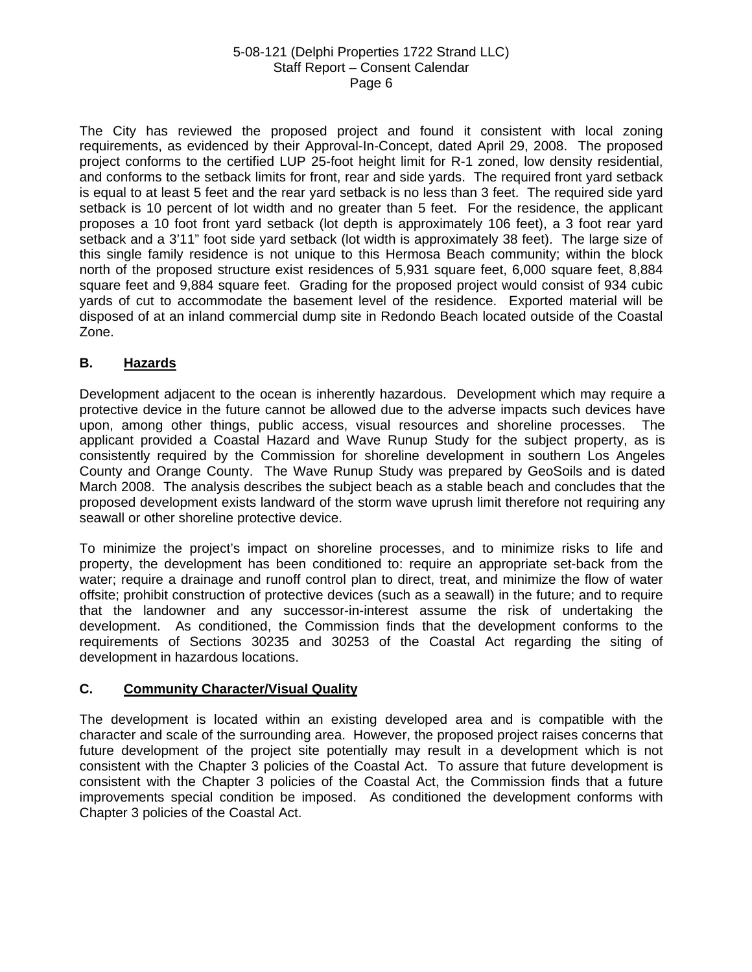The City has reviewed the proposed project and found it consistent with local zoning requirements, as evidenced by their Approval-In-Concept, dated April 29, 2008. The proposed project conforms to the certified LUP 25-foot height limit for R-1 zoned, low density residential, and conforms to the setback limits for front, rear and side yards. The required front yard setback is equal to at least 5 feet and the rear yard setback is no less than 3 feet. The required side yard setback is 10 percent of lot width and no greater than 5 feet. For the residence, the applicant proposes a 10 foot front yard setback (lot depth is approximately 106 feet), a 3 foot rear yard setback and a 3'11" foot side yard setback (lot width is approximately 38 feet). The large size of this single family residence is not unique to this Hermosa Beach community; within the block north of the proposed structure exist residences of 5,931 square feet, 6,000 square feet, 8,884 square feet and 9,884 square feet. Grading for the proposed project would consist of 934 cubic yards of cut to accommodate the basement level of the residence. Exported material will be disposed of at an inland commercial dump site in Redondo Beach located outside of the Coastal Zone.

## **B. Hazards**

Development adjacent to the ocean is inherently hazardous. Development which may require a protective device in the future cannot be allowed due to the adverse impacts such devices have upon, among other things, public access, visual resources and shoreline processes. The applicant provided a Coastal Hazard and Wave Runup Study for the subject property, as is consistently required by the Commission for shoreline development in southern Los Angeles County and Orange County. The Wave Runup Study was prepared by GeoSoils and is dated March 2008. The analysis describes the subject beach as a stable beach and concludes that the proposed development exists landward of the storm wave uprush limit therefore not requiring any seawall or other shoreline protective device.

To minimize the project's impact on shoreline processes, and to minimize risks to life and property, the development has been conditioned to: require an appropriate set-back from the water; require a drainage and runoff control plan to direct, treat, and minimize the flow of water offsite; prohibit construction of protective devices (such as a seawall) in the future; and to require that the landowner and any successor-in-interest assume the risk of undertaking the development. As conditioned, the Commission finds that the development conforms to the requirements of Sections 30235 and 30253 of the Coastal Act regarding the siting of development in hazardous locations.

### **C. Community Character/Visual Quality**

The development is located within an existing developed area and is compatible with the character and scale of the surrounding area. However, the proposed project raises concerns that future development of the project site potentially may result in a development which is not consistent with the Chapter 3 policies of the Coastal Act. To assure that future development is consistent with the Chapter 3 policies of the Coastal Act, the Commission finds that a future improvements special condition be imposed. As conditioned the development conforms with Chapter 3 policies of the Coastal Act.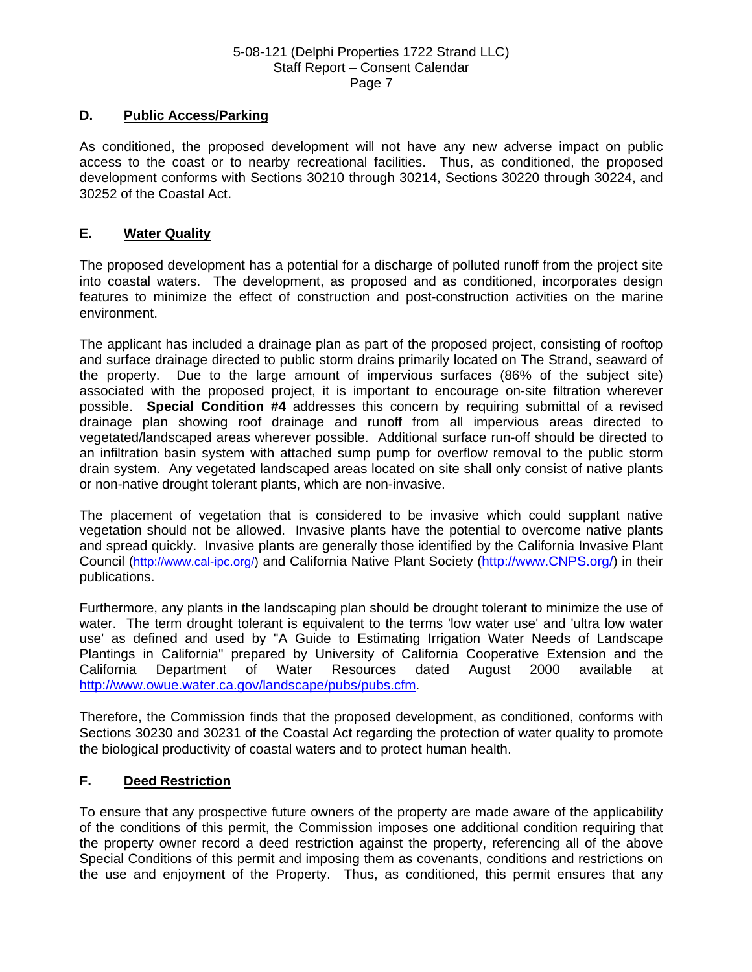#### **D. Public Access/Parking**

As conditioned, the proposed development will not have any new adverse impact on public access to the coast or to nearby recreational facilities. Thus, as conditioned, the proposed development conforms with Sections 30210 through 30214, Sections 30220 through 30224, and 30252 of the Coastal Act.

#### **E. Water Quality**

The proposed development has a potential for a discharge of polluted runoff from the project site into coastal waters. The development, as proposed and as conditioned, incorporates design features to minimize the effect of construction and post-construction activities on the marine environment.

The applicant has included a drainage plan as part of the proposed project, consisting of rooftop and surface drainage directed to public storm drains primarily located on The Strand, seaward of the property. Due to the large amount of impervious surfaces (86% of the subject site) associated with the proposed project, it is important to encourage on-site filtration wherever possible. **Special Condition #4** addresses this concern by requiring submittal of a revised drainage plan showing roof drainage and runoff from all impervious areas directed to vegetated/landscaped areas wherever possible. Additional surface run-off should be directed to an infiltration basin system with attached sump pump for overflow removal to the public storm drain system. Any vegetated landscaped areas located on site shall only consist of native plants or non-native drought tolerant plants, which are non-invasive.

The placement of vegetation that is considered to be invasive which could supplant native vegetation should not be allowed. Invasive plants have the potential to overcome native plants and spread quickly. Invasive plants are generally those identified by the California Invasive Plant Council (<http://www.cal-ipc.org/>) and California Native Plant Society ([http://www.CNPS.org/](http://www.cnps.org/)) in their publications.

Furthermore, any plants in the landscaping plan should be drought tolerant to minimize the use of water. The term drought tolerant is equivalent to the terms 'low water use' and 'ultra low water use' as defined and used by "A Guide to Estimating Irrigation Water Needs of Landscape Plantings in California" prepared by University of California Cooperative Extension and the California Department of Water Resources dated August 2000 available at [http://www.owue.water.ca.gov/landscape/pubs/pubs.cfm.](http://www.owue.water.ca.gov/landscape/pubs/pubs.cfm)

Therefore, the Commission finds that the proposed development, as conditioned, conforms with Sections 30230 and 30231 of the Coastal Act regarding the protection of water quality to promote the biological productivity of coastal waters and to protect human health.

#### **F. Deed Restriction**

To ensure that any prospective future owners of the property are made aware of the applicability of the conditions of this permit, the Commission imposes one additional condition requiring that the property owner record a deed restriction against the property, referencing all of the above Special Conditions of this permit and imposing them as covenants, conditions and restrictions on the use and enjoyment of the Property. Thus, as conditioned, this permit ensures that any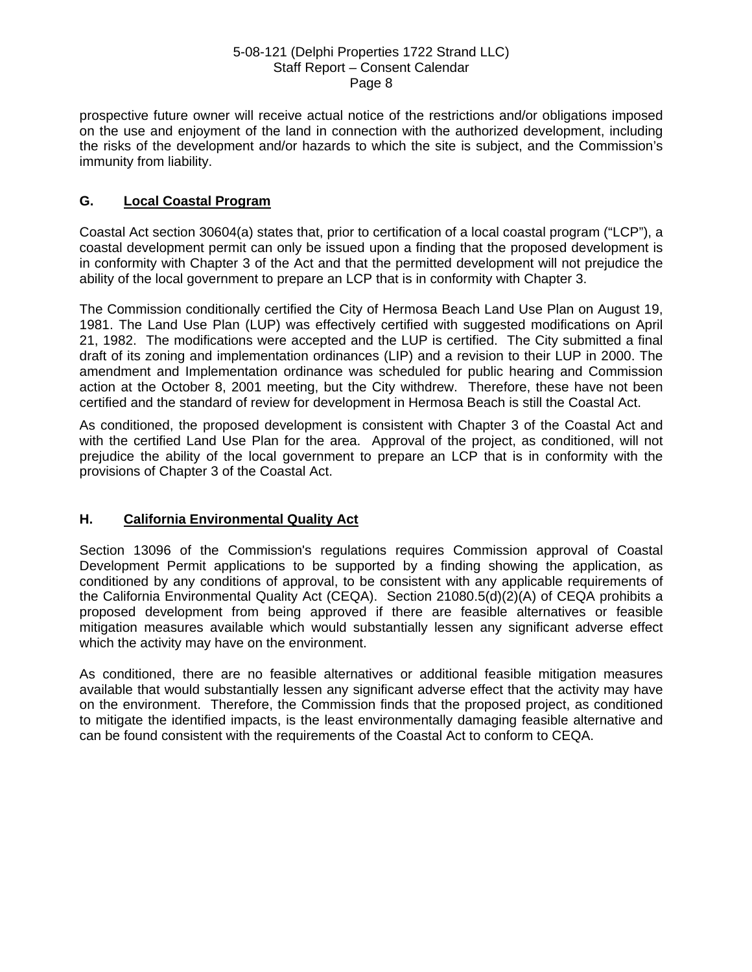prospective future owner will receive actual notice of the restrictions and/or obligations imposed on the use and enjoyment of the land in connection with the authorized development, including the risks of the development and/or hazards to which the site is subject, and the Commission's immunity from liability.

## **G. Local Coastal Program**

Coastal Act section 30604(a) states that, prior to certification of a local coastal program ("LCP"), a coastal development permit can only be issued upon a finding that the proposed development is in conformity with Chapter 3 of the Act and that the permitted development will not prejudice the ability of the local government to prepare an LCP that is in conformity with Chapter 3.

The Commission conditionally certified the City of Hermosa Beach Land Use Plan on August 19, 1981. The Land Use Plan (LUP) was effectively certified with suggested modifications on April 21, 1982. The modifications were accepted and the LUP is certified. The City submitted a final draft of its zoning and implementation ordinances (LIP) and a revision to their LUP in 2000. The amendment and Implementation ordinance was scheduled for public hearing and Commission action at the October 8, 2001 meeting, but the City withdrew. Therefore, these have not been certified and the standard of review for development in Hermosa Beach is still the Coastal Act.

As conditioned, the proposed development is consistent with Chapter 3 of the Coastal Act and with the certified Land Use Plan for the area. Approval of the project, as conditioned, will not prejudice the ability of the local government to prepare an LCP that is in conformity with the provisions of Chapter 3 of the Coastal Act.

### **H. California Environmental Quality Act**

Section 13096 of the Commission's regulations requires Commission approval of Coastal Development Permit applications to be supported by a finding showing the application, as conditioned by any conditions of approval, to be consistent with any applicable requirements of the California Environmental Quality Act (CEQA). Section 21080.5(d)(2)(A) of CEQA prohibits a proposed development from being approved if there are feasible alternatives or feasible mitigation measures available which would substantially lessen any significant adverse effect which the activity may have on the environment.

As conditioned, there are no feasible alternatives or additional feasible mitigation measures available that would substantially lessen any significant adverse effect that the activity may have on the environment. Therefore, the Commission finds that the proposed project, as conditioned to mitigate the identified impacts, is the least environmentally damaging feasible alternative and can be found consistent with the requirements of the Coastal Act to conform to CEQA.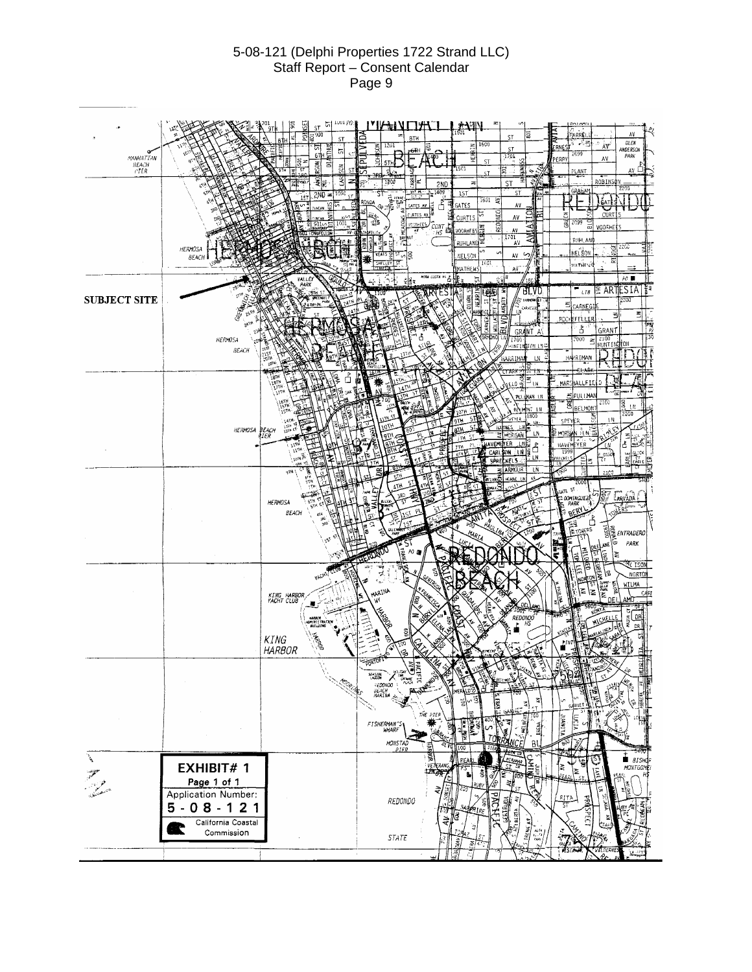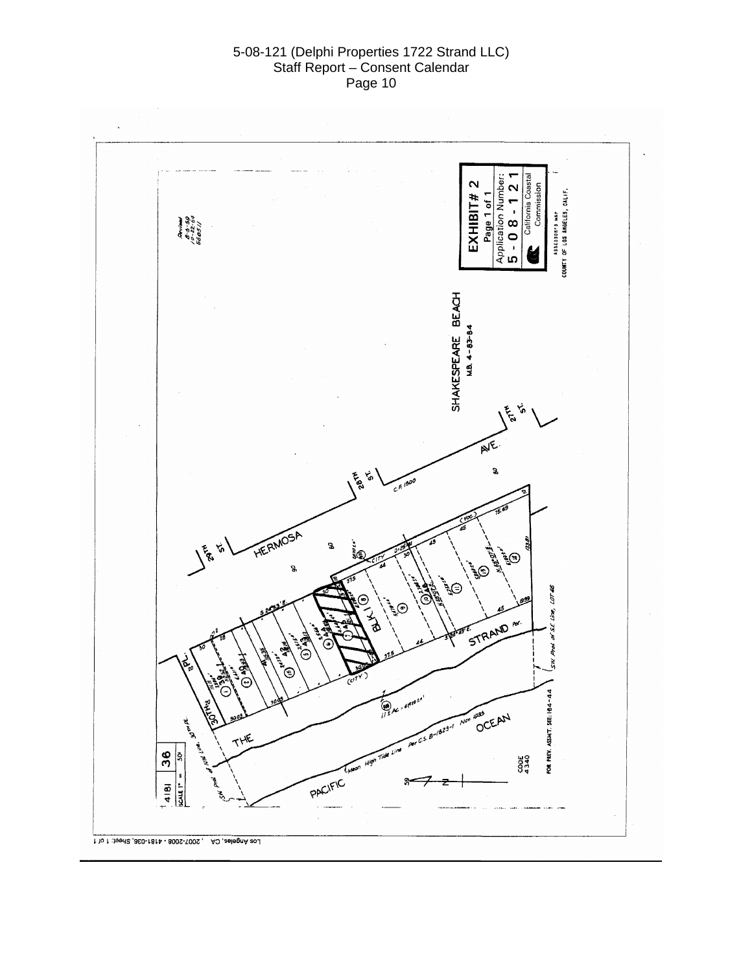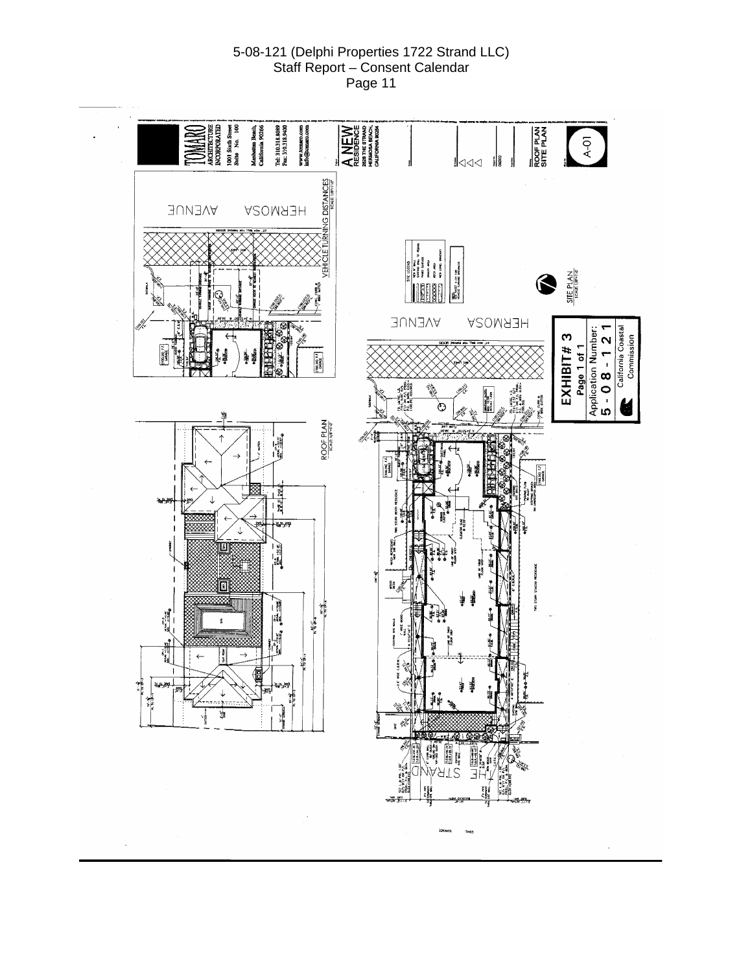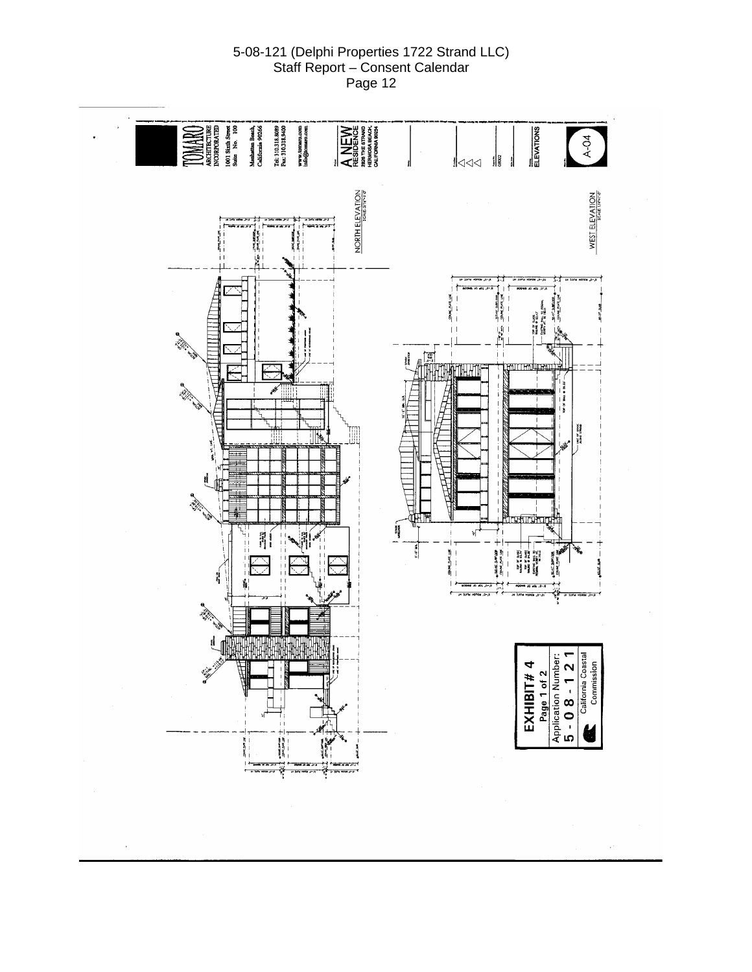